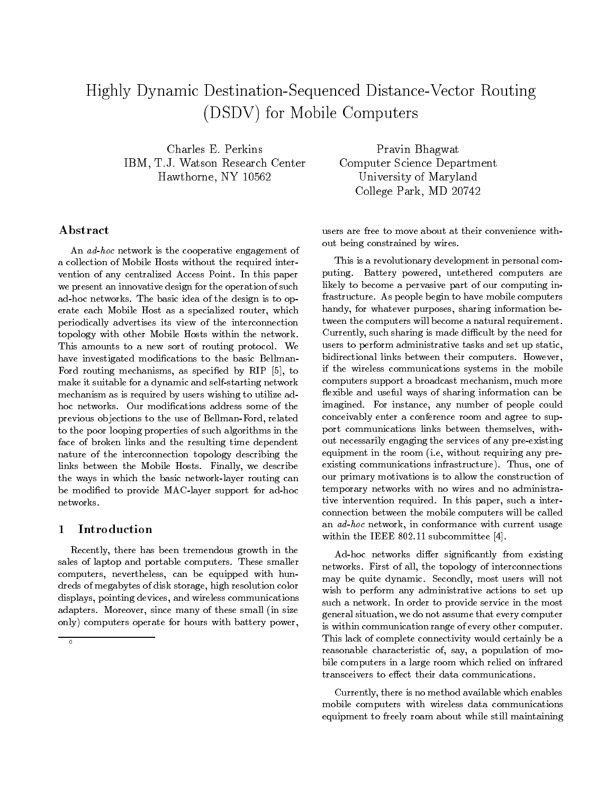# Highly Dynamic Destination-Sequenced Distance-Vector Routing -DSDV for Mobile Computers

Charles E. Perkins IBM- TJ Watson Research CenterHawthorne- NY

Pravin BhagwatComputer Science DepartmentUniversity of MarylandCOLLEGE PARK-WILL AVITT

# Abstract

An  $ad-hoc$  network is the cooperative engagement of a collection of Mobile Hosts without the required inter vention of any centralized Access Point- In this paper we present an innovative design for the operation of such adhoc and basic ideas of the basic ideas of the design is to option erate each Mobile Host as a specialized router, which periodically advertises its view of the interconnection topology with other Mobile Hosts within the network-This amounts to a new sort of  $\mathbb{M}$  . This amounts to a new sort of routing protocolhave investigated modifications to the basic Bellman-Ford routing mechanisms, as specified by RIP  $[5]$ , to make it suitable for a dynamic and self-starting network mechanism as is required by users wishing to utilize ad previous objections to the use of Bellman-Ford, related to the poor looping properties of such algorithms in the face of broken links and the resulting time dependent nature of the interconnection topology describing the links between the Mobile Hosts- Finally we describe the ways in which the basic network-layer routing can be modified to provide MAC-layer support for ad-hoc networks-

### Introduction  $\mathbf 1$

Recently, there has been tremendous growth in the sales of laptop and portable computers- These smaller computers, nevertheless, can be equipped with hundreds of megabytes of disk storage, high resolution color displays, pointing devices, and wireless communications adapters. In since many since many of these small in size  $\sim$ only) computers operate for hours with battery power,

This is a revolutionary development in personal com puting- Battery powered untethered computers are likely to become a pervasive part of our computing in frastructure- As people begin to have mobile computers handy, for whatever purposes, sharing information between the computers will become a natural requirement. currently such sharing is made dimensionly that here are users to perform administrative tasks and set up static bidirectional links between their computers- However if the wireless communications systems in the mobile computers support a broadcast mechanism, much more flexible and useful ways of sharing information can be imagined- For instance any number of people could conceivably enter a conference room and agree to sup port communications links between themselves, without necessarily engaging the services of any pre-existing equipment in the room i-displayer in the room i-displayer in the room i-displayer i-displayer i-displayer i-di existing communications infrastructure  $\mathcal{L}_{\text{max}}$  . Thus one of other of one of other of one of our order of our order of our order of our order of our order of our order of our order of our order of our order of our or our primary motivations is to allow the construction of temporary networks with no wires and no administra tive intervention required- In this paper such a inter connection between the mobile computers will be called an ad-hoc network, in conformance with current usage within the IEEE 
- subcommittee -

Ad-hoc networks differ significantly from existing networks- First of all the topology of interconnections may be quite dynamic- Secondly most users will not wish to perform any administrative actions to set up such a network- In order to provide service in the most general situation, we do not assume that every computer is within communication range of every other computer. This lack of complete connectivity would certainly be a reasonable characteristic of, say, a population of mobile computers in a large room which relied on infrared transceivers to effect their data communications.

Currently there is no method available which enables mobile computers with wireless data communications equipment to freely roam about while still maintaining

users are free to move about at their convenience with out being constrained by wires.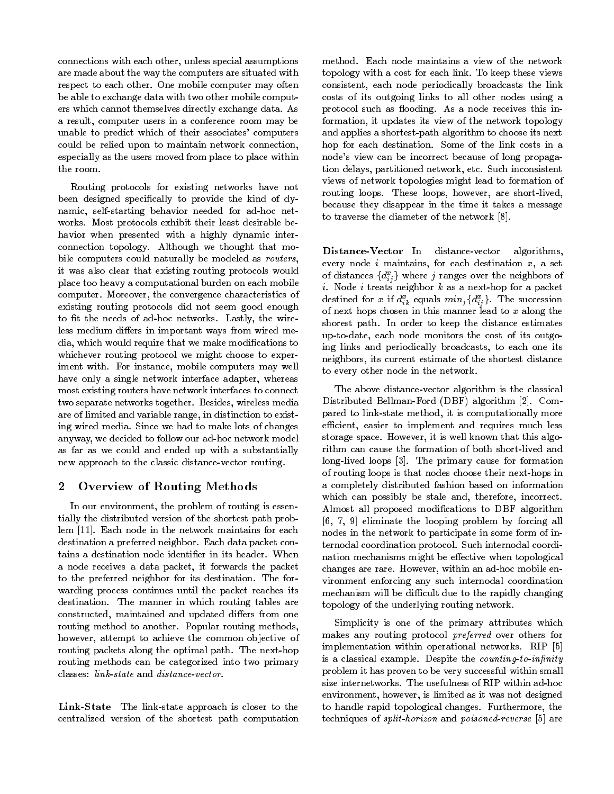connections with each other, unless special assumptions are made about the way the computers are situated with respect to each other- One mobile computer may often be able to exchange data with two other mobile comput ers which cannot themselves directly exchange data- As a result, computer users in a conference room may be unable to predict which of their associates' computers could be relied upon to maintain network connection especially as the users moved from place to place within

Routing protocols for existing networks have not been designed specifically to provide the kind of dynamic, self-starting behavior needed for ad-hoc networks- Most protocols exhibit the internal protocols exhibit the internal protocols exhibit their least desirable behavior of the internal protocols exhibit the internal protocols exhibit the internal protocols exhibit the havior when presented with a highly dynamic inter connection to the connection that more than  $\mathbf{m}$ bile computers could naturally be modeled as *routers*, it was also clear that existing routing protocols would place too heavy a computational burden on each mobile computer- Moreover the convergence characteristics of existing routing protocols did not seem good enough to the the needs of additional methods are more than the wine of the wine of the wine of the wine of the wine o less medium differs in important ways from wired media, which would require that we make modifications to whichever routing protocol we might choose to exper iment with- For instance mobile computers may well have only a single network interface adapter, whereas most existing routers have network interfaces to connect two separate networks together- and the separate networks media and the separate wireless media and the separate of are of limited and variable range, in distinction to existing wired media-since we had to make lots of changes we had to make lots of changes we had to make lots of cha anyway, we decided to follow our ad-hoc network model as far as we could and ended up with a substantially new approach to the classic distance-vector routing.

### $\boldsymbol{2}$ Overview of Routing Methods

In our environment, the problem of routing is essentially the distributed version of the shortest path prob lem - Each node in the network maintains for each destination a preferred neighbor- Each data packet con a node receives a data packet, it forwards the packet to the preferred neighbor for its destination- The for warding process continues until the packet reaches its destination-the manner in which routing tables are the manner in which routing tables are the manner in which routing tables are the manner in which routing tables are the manner in the manner in the manner in the manner i constructed, maintained and updated differs from one routing method to another- Popular routing methods however, attempt to achieve the common objective of routing packets along the optimal path- The nexthop routing methods can be categorized into two primary classes:  $link-state$  and  $distance-vector$ .

Link-State The link-state approach is closer to the centralized version of the shortest path computation

topology with a cost for each link-formation and cost for each link-formation and cost for each link-formation consistent, each node periodically broadcasts the link costs of its outgoing links to all other nodes using a protocol such as a node receives the collection of the collection of the collection of the collection of the c formation, it updates its view of the network topology and applies a shortest-path algorithm to choose its next hop for each destination- Some of the link costs in a node's view can be incorrect because of long propagation delays partitioned network etc- Such inconsistent views of network topologies might lead to formation of routing loops- These loops however are shortlived because they disappear in the time it takes a message to traverse the diameter of the network  $[8]$ .

Distance-Vector In distance-vector algorithms, every node i maintains, for each destination  $x$ , a set of distances  $\{d_{ii}^x\}$  where  $j$  ranges over the neighbors of i-sis at the international contracts as a next and packet as  $\mathbb R$ destined for x if  $d_{ik}^x$  equals  $min_j \left\{ d_{ij}^x \right\}$ . The succession of next hops chosen in this manner lead to  $x$  along the shorest path- In order to keep the distance estimates up-to-date, each node monitors the cost of its outgoing links and periodically broadcasts, to each one its neighbors, its current estimate of the shortest distance to every other node in the network-

The above distance-vector algorithm is the classical  $\mathbf{D} = \mathbf{D}$  and  $\mathbf{D} = \mathbf{D}$  algorithm -  $\mathbf{D} = \mathbf{D}$  algorithm -  $\mathbf{D} = \mathbf{D}$ pared to link-state method, it is computationally more e cient easier to implement and requires much less storage space-moderning it is well also that the this algo rithm can cause the formation of both short-lived and longlived loops - The primary cause for formation of routing loops is that nodes choose their next-hops in a completely distributed fashion based on information which can possibly be stale and, therefore, incorrect. Almost all proposed modifications to DBF algorithm  $[6, 7, 9]$  eliminate the looping problem by forcing all nodes in the network to participate in some form of in ternodal coordination protocol- Such internodal coordi nation mechanisms might be effective when topological changes are rare- However within an adhoc mobile en vironment enforcing any such internodal coordination mechanism will be di cult due to the rapidly changing topology of the underlying routing network-

Simplicity is one of the primary attributes which makes any routing protocol preferred over others for implementation within operational networks- RIP is a classical example- Despite the countingtoin-nity problem it has proven to be very successful within small environment, however, is limited as it was not designed to handle rapid topological changes- Furthermore the techniques of split-horizon and poisoned-reverse  $[5]$  are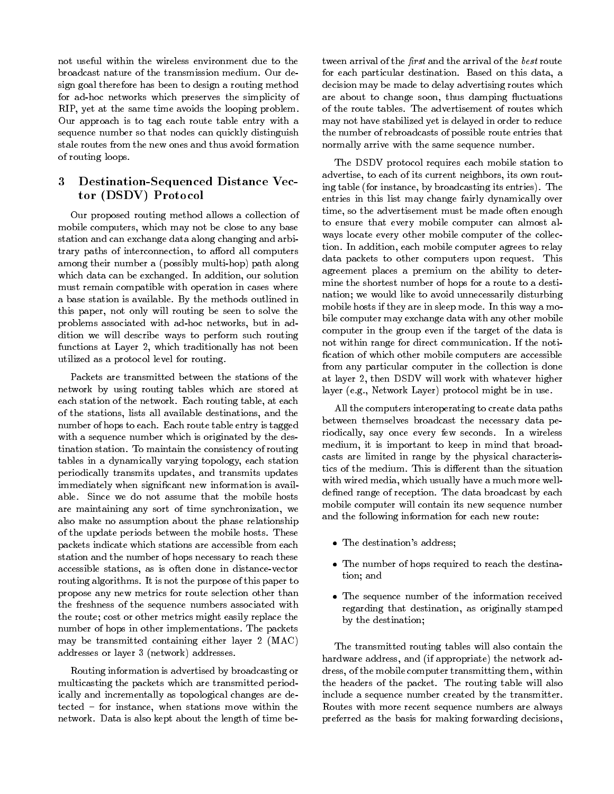not useful within the wireless environment due to the sign goal therefore has been to design a routing method for ad-hoc networks which preserves the simplicity of RIP, yet at the same time avoids the looping problem. Our approach is to tag each route table entry with a sequence number so that nodes can quickly distinguish stale routes from the new ones and thus avoid formation of routing loops.

# 3 Destination-Sequenced Distance Vector (DSDV) Protocol

Our proposed routing method allows a collection of mobile computers, which may not be close to any base station and can exchange data along changing and arbi trary paths of interconnection, to afford all computers among their number a (possibly multi-hop) path along which data can be exchanged- as solution, the addition our must remain compatible with operation in cases where a the station is available-  $\frac{1}{2}$  the method in the method outlined in this paper, not only will routing be seen to solve the problems associated with ad-hoc networks, but in addition we will describe ways to perform such routing functions at Layer 2, which traditionally has not been utilized as a protocol level for routing-

Packets are transmitted between the stations of the network by using routing tables which are stored at each station of the network-table at each routing table at each routing table at each routing table at each routing table at each routing table at each routing table at each routing table at each routing table at each rout of the stations, lists all available destinations, and the number of hops table entry is takenwith a sequence number which is originated by the des tination station- To maintain the consistency of routing tables in a dynamically varying topology each station periodically transmits updates, and transmits updates immediately when significant new information is availare maintaining any sort of time synchronization, we also make no assumption about the phase relationship of the update periods between the mobile hosts- These packets indicate which stations are accessible from each station and the number of hops necessary to reach these accessible stations, as is often done in distance-vector routing algorithms- It is not the purpose of this paper to propose any new metrics for route selection other than the freshness of the sequence numbers associated with the route; cost or other metrics might easily replace the number of hopps in other implementations- have pathwest may be transmitted containing either layer  $2$  (MAC) addresses or layer 3 (network) addresses.

Routing information is advertised by broadcasting or multicasting the packets which are transmitted period ically and incrementally as topological changes are de tected - for instance, when stations move within the network-beneficiellen is also kept about the length of time beneficiellen in the length of time beneficiellen i

tween arrival of the -rst and the arrival of the best route for each particular destination- Based on this data a decision may be made to delay advertising routes which are about to change soon, thus damping fluctuations may not have stabilized yet is delayed in order to reduce the number of rebroadcasts of possible route entries that normally arrive with the same sequence number.

The DSDV protocol requires each mobile station to advertise, to each of its current neighbors, its own routing this for instance by by broadcasting its entries  $\mu$  and entries in this list may change fairly dynamically over time, so the advertisement must be made often enough to ensure that every mobile computer can almost al ways locate every other mobile computer of the collec tion-dition-dition-dition-dition-dition-dition-dition-dition-dition-dition-dition-dition-dition-dition-ditiondata packets to other computers upon request- This agreement places a premium on the ability to deter mine the shortest number of hops for a route to a desti nation; we would like to avoid unnecessarily disturbing mobile hosts if they are in sleep mode- In this way a mo bile computer may exchange data with any other mobile computer in the group even if the target of the data is not within range for direct communication- in the note fication of which other mobile computers are accessible from any particular computer in the collection is done at layer 2, then DSDV will work with whatever higher layer e-g- Network Layer protocol might be in use-

All the computers interoperating to create data paths between themselves broadcast the necessary data pe riodically say once every few seconds- In a wireless medium, it is important to keep in mind that broadcasts are limited in range by the physical characteris with wired media, which usually have a much more welladded range of reception- the data distance of range  $\mathcal{L}_{\mathcal{A}}$ mobile computer will contain its new sequence number and the following information for each new route

- $\bullet$  The destination's address;
- $\bullet$  The number of hops required to reach the destination; and
- $\bullet$  The sequence number of the information received regarding that destination, as originally stamped by the destination

The transmitted routing tables will also contain the hardware address, and (if appropriate) the network address, of the mobile computer transmitting them, within the headers of the packets, which consider the most  $\sim$ include a sequence number created by the transmitter. Routes with more recent sequence numbers are always preferred as the basis for making forwarding decisions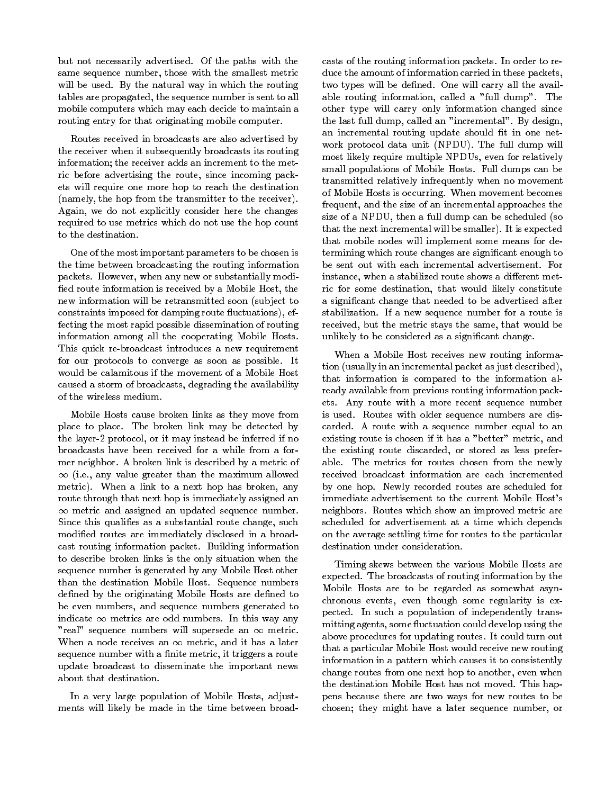but not necessarily advertised-to-the paths with the paths with the paths with the paths with the paths with th same sequence number, those with the smallest metric will be used-the natural way in which the routing  $\mathbf{u}$ tables are propagated, the sequence number is sent to all mobile computers which may each decide to maintain a routing entry for that originating mobile computer.

Routes received in broadcasts are also advertised by the receiver when it subsequently broadcasts its routing information; the receiver adds an increment to the metric before advertising the route, since incoming packets will require one more hop to reach the destination (namely, the hop from the transmitter to the receiver). Again, we do not explicitly consider here the changes required to use metrics which do not use the hop count to the destination.

One of the most important parameters to be chosen is the time between broadcasting the routing information packets- However when any new or substantially modi fied route information is received by a Mobile Host, the new information will be retransmitted soon (subject to constraints imposed for damping route fluctuations), effecting the most rapid possible dissemination of routing information among all the cooperating Mobile Hosts-This quick rebroadcast introduces a new requirement for our protocols to converge as soon as possible- It would be calamitous if the movement of a Mobile Host caused a storm of broadcasts, degrading the availability of the wireless medium-

Mobile Hosts cause broken links as they move from place to place- The broken link may be detected by the layer-2 protocol, or it may instead be inferred if no broadcasts have been received for a while from a for mer neighbor- is described by a broken link is described by  $\infty$  (i.e., any value greater than the maximum allowed  $$ metricly, this can be comed to a second state of state the state of  $\mathbb{R}^n$ route through that next hop is immediately assigned an  $\infty$  metric and assigned an updated sequence number. Since this qualifies as a substantial route change, such modified routes are immediately disclosed in a broadcast routing information patholic model information is to describe broken links is the only situation when the sequence number is generated by any Mobile Host other than the destination Mobile Host- Sequence numbers defined by the originating Mobile Hosts are defined to be even numbers, and sequence numbers generated to indicate  $\infty$  metrics are odd numbers. In this way any  $r$ real $r$  sequence numbers will supersede an  $\infty$  metric. when a node receives an  $\infty$  metric, and it has a later sequence number with a finite metric, it triggers a route update broadcast to disseminate the important news about that destination.

In a very large population of Mobile Hosts, adjustments will likely be made in the time between broad

casts of the routing information packets- In order to re duce the amount of information carried in these packets two types will be denoted by dened-by denoted by denoted and the available available available available available available available available available available available available available available available availab able routing information called a full dump- The other type will carry only information changed since the last full dump called an incremental-dump called an incremental-dump called an incremental-dump called an incrementalan incremental routing update should fit in one network protocol data and joint to place the dump will most likely require multiple NPDUs, even for relatively small populations of Mobile Hosts-Color and Mobile Hosts-Color transmitted relatively infrequently when no movement of Mobile Hosts is occurring-when movement becomes the control of the control of the control of the control of frequent, and the size of an incremental approaches the size of a NPDU, then a full dump can be scheduled (so that the next incremental will be smaller  $\mathbf{I}$  is expected will be smaller  $\mathbf{I}$ that mobile nodes will implement some means for de termining which route changes are signicant enough to instance, when a stabilized route shows a different metric for some destination, that would likely constitute a signicant change that needed to be advertised after stabilization-berg and the stabilization-berg and the stabilization-berg and the stabilization-berg and the stabilization-berg and the stabilization-berg and the stabilization-berg and the stabilization-berg and the stabil received, but the metric stays the same, that would be unlikely to be considered as a significant change.

When a Mobile Host receives new routing informa tion (usually in an incremental packet as just described), that information is compared to the information al ready available from previous routing information pack ets- Any route with a more recent sequence number is used- Routes with older sequence numbers are dis carded- A route with a sequence number equal to an existing route is chosen if it has a "better" metric, and the existing route discarded, or stored as less preferable- able-metrics for routes the newly for a new  $\mathbf{r}_i$ received broadcast information are each incremented by one hop- Newly recorded routes are scheduled for immediate advertisement to the current Mobile Host's neighbors- arranged metric and in improved metric are metric and scheduled for advertisement at a time which depends on the average settling time for routes to the particular destination under consideration.

Timing skews between the various Mobile Hosts are expected-broadcasts of routing information by the broadcasts of routing information by the broadcasts of routin Mobile Hosts are to be regarded as somewhat asyn chronous events, even though some regularity is expertention of independently transfer in such a population of independent of independent of independent of independent of independent of independent of independent of independent of independent of independent of independent mitting agents, some fluctuation could develop using the above procedures for updating routes-to-dures-between the states-to-dures-to-dures-to-dures-to-dures-to-duresthat a particular Mobile Host would receive new routing information in a pattern which causes it to consistently change routes from one next hop to another, even when the destination mobile is not move move that the movement  $\mathcal{L}_{\mathcal{A}}$ pens because there are two ways for new routes to be chosen; they might have a later sequence number, or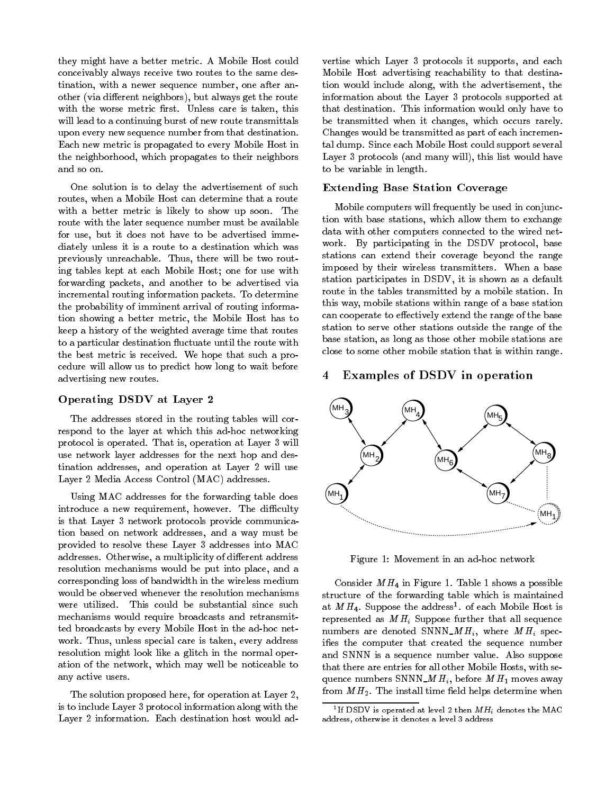they might have a better metric- A Mobile Host could conceivably always receive two routes to the same des tination, with a newer sequence number, one after another (via different neighbors), but always get the route with the worse metric rst-taken the worse metric rst-taken the worse  $\mathbf{U}$ will lead to a continuing burst of new route transmittals upon every new sequence number from that destination-Each new metric is propagated to every Mobile Host in the neighborhood, which propagates to their neighbors

One solution is to delay the advertisement of such routes, when a Mobile Host can determine that a route with a better metric is likely to show up so that the show up so the show up soonroute with the later sequence number must be available for use, but it does not have to be advertised immediately unless it is a route to a destination which was previously unreaches there will be two routes there will be two routes of two routes of two routes of two routes ing tables kept at each Mobile Host; one for use with forwarding packets, and another to be advertised via incremental routing information packets- To determine the probability of imminent arrival of routing informa tion showing a better metric, the Mobile Host has to keep a history of the weighted average time that routes to a particular destination fluctuate until the route with the best metric is received. The metric images where  $\sim$  problems that such a problem is problem to the such a problem in  $\sim$ cedure will allow us to predict how long to wait before advertising new routes.

### Operating DSDV at Layer

The addresses stored in the routing tables will cor respond to the layer at which this ad-hoc networking protocol is operation. That is operation at The Layer is operation use network layer addresses for the next hop and des tination addresses, and operation at Layer 2 will use Layer 2 Media Access Control (MAC) addresses.

Using MAC addresses for the forwarding table does introduce a new requirement however-dimensional culty and culty and culty and culty and culty and culty and cu is that Layer 3 network protocols provide communication based on network addresses, and a way must be provided to resolve these Layer 3 addresses into MAC addresses- Otherwise a multiplicity of dierent addresses- of dierent addresses and dierent addresses and diere resolution mechanisms would be put into place, and a corresponding loss of bandwidth in the wireless medium would be observed whenever the resolution mechanisms mechanisms would require broadcasts and retransmit ted broadcasts by every Mobile Host in the ad-hoc network-care is the special care is the special care is the second resolution might look like a glitch in the normal oper ation of the network, which may well be noticeable to any active users.

The solution proposed here, for operation at Layer 2, is to include Layer 3 protocol information along with the Layer information- Each destination host would ad vertise which Layer 3 protocols it supports, and each Mobile Host advertising reachability to that destina tion would include along, with the advertisement, the information about the Layer 3 protocols supported at that destination-destination-destination-destination-destination-destination-destination-destination-destinatio be transmitted when it changes, which occurs rarely. Changes would be transmitted as part of each incremen tal dump- since the motive of the mobile supporter several Layer 3 protocols (and many will), this list would have to be variable in length.

# Extending Base Station Coverage

Mobile computers will frequently be used in conjunc tion with base stations, which allow them to exchange data with other computers connected to the wired net work- By participating in the DSDV protocol base stations can extend their coverage beyond the range imposed by their wireless transmitters- When a base station participates in DSDV, it is shown as a default route in the tables transmitted by a mobile station- In this way, mobile stations within range of a base station can cooperate to effectively extend the range of the base station to serve other stations outside the range of the base station, as long as those other mobile stations are close to some other mobile station that is within range-

# Examples of DSDV in operation



Figure 1: Movement in an ad-hoc network

consider the figure -  $\mathcal{C}_{\mathbf{C}}$  in Figure -  $\mathcal{C}_{\mathbf{C}}$  is a possible -  $\mathcal{C}_{\mathbf{C}}$ structure of the forwarding table which is maintained at  $m \, \mu_4$ . Suppose the address  $\cdot$  or each Mobile Host is represented as  $MH_i$  Suppose further that all sequence numbers are denoted SNNN\_ $M H_i$ , where  $M H_i$  specifies the computer that created the sequence number and second in a sequence number of control suppose the suppose that there are entries for all other Mobile Hosts, with se- $\mathcal{A}_1$  moves are moved as social matrix  $\mathcal{A}_2$  , we see that  $\mathcal{A}_3$  are moved as social matrix  $\mathcal{A}_3$ from MH- The install time eld helps determine when

 $\cdot$  if DSDV is operated at level 2 then *MH<sub>i</sub>* denotes the MAC address-dress-dress-dress-dress-dress-dress-dress-dress-dress-dress-dress-dress-dress-dress-dress-dress-dress-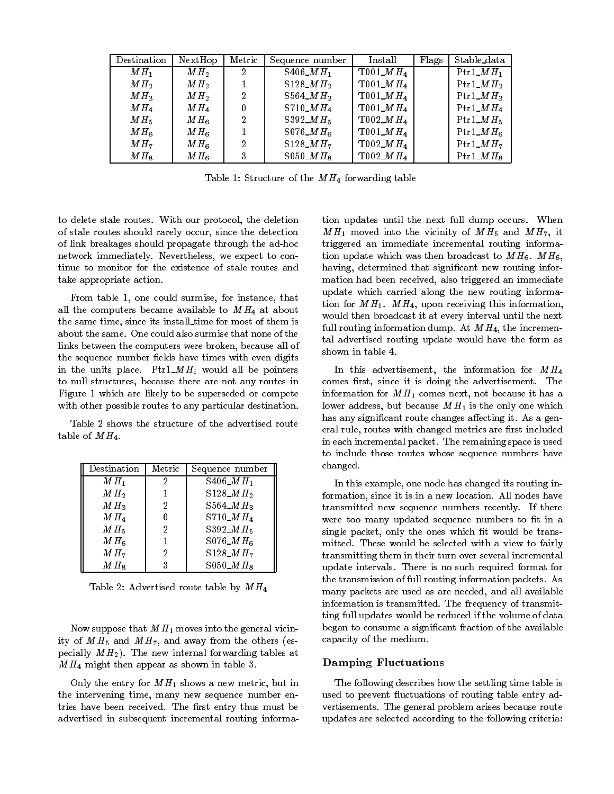| Destination     | NextHop | Metric         | Sequence number        | Install          | Flags | Stable_data   |
|-----------------|---------|----------------|------------------------|------------------|-------|---------------|
| $M H_1$         | $M H_2$ | $\overline{2}$ | $S406 \overline{MH_1}$ | $T001$ $M$ $H_4$ |       | Ptr1 $M_{1}$  |
| MH <sub>2</sub> | $M H_2$ |                | $S128 \mu H_2$         | $T001$ $M$ $H_4$ |       | Ptr1 $M_{12}$ |
| $MH_3$          | $M H_2$ | 2              | $S564 \, M \, H_3$     | $T001$ $M$ $H_4$ |       | Ptr1 $M_{3}$  |
| $MH_4$          | $MH_4$  | 0              | $S710$ $M$ $H_4$       | $T001 M H_4$     |       | Ptr1 $M_{4}$  |
| $M H_5$         | $M H_6$ | $\mathfrak{D}$ | S392_ $MH_5$           | $T002 \, M H_4$  |       | Ptr1 $M_{5}$  |
| $MH_6$          | $M H_6$ |                | S076 $M H_6$           | $T001$ $M$ $H_4$ |       | Ptr1 $M_{6}$  |
| $M H_7$         | $MH_6$  | $\overline{2}$ | $S128 \mu H_7$         | $T002 \mu H_4$   |       | Ptr1 $M_{7}$  |
| $M H_8$         | $MH_6$  | 3              | $S050 \, \text{M} H_8$ | $T002 \mu H_4$   |       | Ptr1 $M_{8}$  |

Table 1: Structure of the  $MH<sub>4</sub>$  forwarding table

to delete stale routes-delete stale routes-delete stale route stale route of the delete stale route of the delet of stale routes should rarely occur, since the detection of link breakages should propagate through the ad-hoc network immediately- Nevertheless we expect to con tinue to monitor for the existence of stale routes and take appropriate action.

From table 1, one could surmise, for instance, that all the computers became available to  $MH<sub>4</sub>$  at about the same time, since its install time for most of them is links between the computers were broken, because all of the sequence number fields have times with even digits in the units places all be pointers and the pointers all be pointers and the point of the point of the point of to null structures, because there are not any routes in Figure 1 which are likely to be superseded or compete with other possible routes to any particular destination.

Table 2 shows the structure of the advertised route table of  $MH_4$ .

| Destination     | Metric | Sequence number          |
|-----------------|--------|--------------------------|
| $MH_1$          | 2      | S <sub>406</sub> $M H_1$ |
| MH <sub>2</sub> |        | $S128\_M H_2$            |
| $MH_3$          | 2      | S564_M $H_3$             |
| $MH_4$          |        | $S710$ $M$ $H_4$         |
| $MH_5$          | 2      | S392_ $MH_5$             |
| $MH_6$          |        | S076_M $H_6$             |
| $MH_7$          | 2      | $S128 \mu H_7$           |
| $MH_8$          | 3      | S <sub>050</sub> $M H_8$ |

Table 2: Advertised route table by  $MH_4$ 

now suppose that MH- is presented vicinity of the general vicinity of the general vicinity of the general vici ity of  $MH_5$  and  $MH_7$ , and away from the others (especially MH  $\sim$   $\mu$  internal forwarding tables at  $\mu$  $MH<sub>4</sub>$  might then appear as shown in table 3.

only the entry for MH-  $\mu$  metric but in MH- the shows and the intervening time, many new sequence number entries have been received-tries have been received-tries have been received-tries have been received-tries have advertised in subsequent incremental routing informa

tion updates until the next full dump of the next full dump of the next full dump of the next full dump of the me and the vicinity of MH and MH and MH it MH and MH it MH it MH and MH it MH it MH it MH it MH it MH it MH it triggered an immediate incremental routing informa tion up date which was the broadcast to MH-H-O, MH-H-O, having, determined that significant new routing information had been received, also triggered an immediate update which carried along the new routing informa tion for MH-- MH upon receiving this information would then broadcast it at every interval until the next full routing information dump- At MH the incremen tal advertised routing update would have the form as shown in table 4.

In this advertisement, the information for  $MH_4$ comes root, and it is doing the advertisement- adve information for MH- comes next not because it has a lower address but because MH- is the only one which has any signicant route changes aecting it- As a gen eral rule, routes with changed metrics are first included in each incremental packet: The remaining space is used . to include those routes whose sequence numbers have changed.

In this example, one node has changed its routing information since it is in a new location- All nodes have transmitted new sequence numbers recently-dependent in  $\mathcal{A}$  there are contained in  $\mathcal{A}$ were too many updated sequence numbers to fit in a single packet, only the ones which fit would be transmitted-be selected-be selected-be selected-be selected-be selected-be selected-be selected with a view to fair transmitting them in their turn over several incremental up and intervalsed and there is no such required format format format format format format  $\mathcal{L}$ the transmission of full routing information packets - i.e. many packets are used as are needed, and all available information is transmitted- The frequency of transmit ting full updates would be reduced if the volume of data began to consume a signicant fraction of the available capacity of the medium-

### Damping Fluctuations

The following describes how the settling time table is used to prevent fluctuations of routing table entry advertisements- The general problem arises because route updates are selected according to the following criteria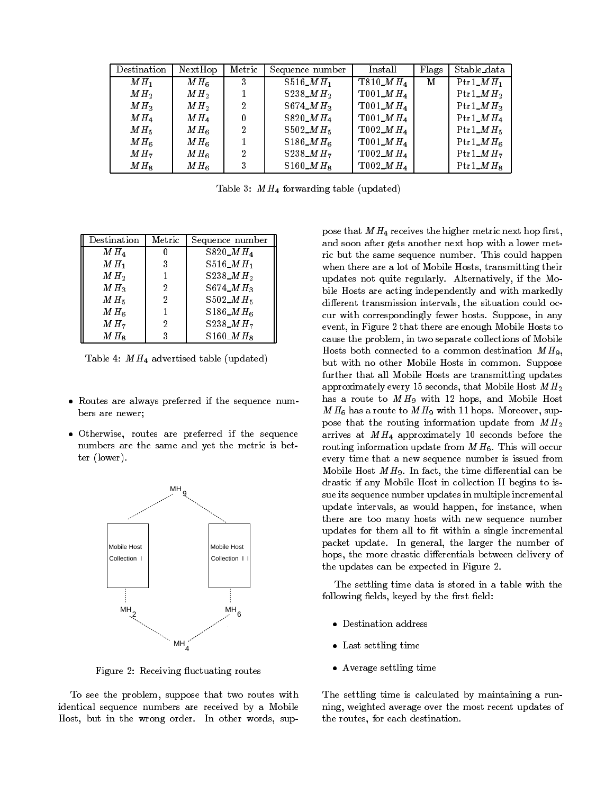| Destination | NextHop  | Metric         | Sequence number        | Install                   | Flags | Stable_data   |
|-------------|----------|----------------|------------------------|---------------------------|-------|---------------|
| $M H_1$     | $M H_6$  | 3              | $S516$ $M H_1$         | $T810$ $M$ $H_4$          | M     | Ptr1 $M_{1}$  |
| $M H_2$     | $M H_2$  |                | S238 $M H2$            | $T001 M H_4$              |       | Ptr1 $M_{12}$ |
| $M H_3$     | $M H_2$  | $\overline{2}$ | S674 $M H_3$           | $T001 M H_4$              |       | Ptr1 $M_{3}$  |
| $MH_4$      | $MH_4$   | 0              | S820 $MH_4$            | $T001 \, M H_4$           |       | Ptr1 $M_{4}$  |
| $M H_5$     | $MH_6$   | $\overline{2}$ | $S502 \, \text{M} H_5$ | $T002 \, M H_4$           |       | Ptr1 $M_{5}$  |
| $MH_6$      | $MH_{6}$ |                | $S186 \, M H_6$        | $T001$ $M$ $H_4$          |       | Ptr1 $M_{6}$  |
| $M H_7$     | $MH_6$   | $\overline{2}$ | S238_ $M H7$           | $T002$ $M H_4$            |       | Ptr1_ $M_{7}$ |
| $M H_8$     | $MH_6$   | 3              | $S160$ $M$ $H_8$       | $T002$ <sub>M</sub> $H_4$ |       | Ptr1_ $MH_8$  |

Table 3:  $MH<sub>4</sub>$  forwarding table (updated)

| Destination     | Metric | Sequence number         |
|-----------------|--------|-------------------------|
| $MH_4$          |        | $S820 \Delta M H_4$     |
| $MH_1$          |        | $S516\_M H_1$           |
| MH <sub>2</sub> |        | S238 $M H_2$            |
| $MH_3$          | 2      | $S674 \ M\ H_3$         |
| $MH_5$          | 2      | $S502\_M$ $H_5$         |
| $MH_{\epsilon}$ |        | S <sub>186</sub> $MH_6$ |
| $MH_7$          | 2      | $S238\_M_{7}$           |
| MHz             |        | $S160 \_\text{}M H_8$   |

Table 4:  $MH<sub>4</sub>$  advertised table (updated)

- $\bullet$  -Koutes are always preferred if the sequence numbers are newer
- $\bullet$  Otherwise, routes are preferred if the sequence numbers are the same and yet the metric is bet ter (lower).



Figure 2: Receiving fluctuating routes

To see the problem, suppose that two routes with identical sequence numbers are received by a Mobile Host but in the wrong order- In other words sup pose that  $MH_4$  receives the higher metric next hop first, and soon after gets another next hop with a lower met ric but the same sequence number- This could happen when there are a lot of Mobile Hosts, transmitting their updates not quite regularly-the Modernatively if the Modernatively if the Modernatively if the Modernatively i bile Hosts are acting independently and with markedly different transmission intervals, the situation could occur with corresponding fewer hosts-correspondingly fewer hosts-correspondingly fewer hosts-corresponding to the event, in Figure 2 that there are enough Mobile Hosts to cause the problem, in two separate collections of Mobile Hosts both connected to a common destination  $MH_9$ , but with no other Mobile Hosts in common- Suppose further that all Mobile Hosts are transmitting updates approximately every 15 seconds, that Mobile Host  $MH_2$ has a route to  $MH<sub>9</sub>$  with 12 hops, and Mobile Host me and many states to me any states are part and control to prove pose that the routing information update from  $MH_2$ arrives at  $MH_4$  approximately 10 seconds before the routing information up matter from MH-H-O – matter with a collection every time that a new sequence number is issued from mobile Host Media (1995) aan berlij teel time dierential can bewerk die drastic if any Mobile Host in collection II begins to is sue its sequence number updates in multiple incremental update intervals, as would happen, for instance, when there are too many hosts with new sequence number updates for them all to fit within a single incremental packet update- In general the larger the number of hops, the more drastic differentials between delivery of the updates can be expected in Figure 2.

The settling time data is stored in a table with the following fields, keyed by the first field:

- $\bullet$  Destination address  $\hspace{0.1em}$
- $\bullet$  Last settling time
- Average settling time

The settling time is calculated by maintaining a run ning, weighted average over the most recent updates of the routes, for each destination.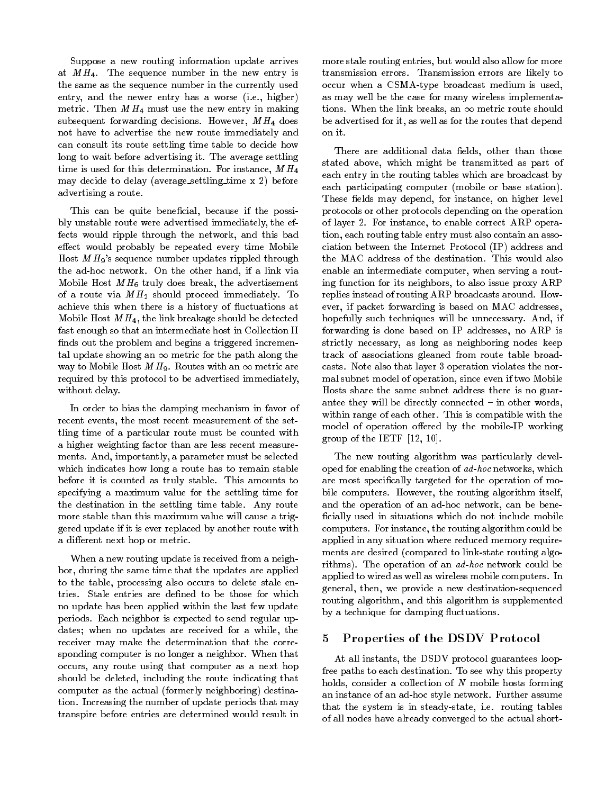Suppose a new routing information update arrives at me sequence number in the new entry is new entry in the new entry. the same as the sequence number in the currently used entry and the newer entry has a worse in the new set of the new set of the new set of the new set of the new s metric - Then MH must use the new entry in making subsequent for warding decisions-directed and  $\frac{1}{2}$  and  $\frac{1}{2}$  and  $\frac{1}{2}$ not have to advertise the new route immediately and can consult its route settling time table to decide how long to wait before advertising it- The average settling time is used for this determination-this determination, where  $\frac{1}{\sqrt{2}}$ may decide to delay (average\_settling\_time  $x$  2) before advertising a route-

This can be quite beneficial, because if the possibly unstable route were advertised immediately, the effects would ripple through the network and this bad effect would probably be repeated every time Mobile Host  $MH<sub>9</sub>$ 's sequence number updates rippled through  $\mathbf{1}$ Mobile Host  $MH_6$  truly does break, the advertisement of a route via MH should proceed immediately. To achieve this when there is a history of fluctuations at Mobile Host  $MH_4$ , the link breakage should be detected fast enough so that an intermediate host in Collection II finds out the problem and begins a triggered incremental update showing an  $\infty$  metric for the path along the way to Mobile Host *MH*<sub>9</sub>. Koutes with an  $\infty$  metric are required by this protocol to be advertised immediately without delay.

In order to bias the damping mechanism in favor of recent events, the most recent measurement of the settling time of a particular route must be counted with a higher weighting factor than are less recent measure ments- And importantly a parameter must be selected which indicates how long a route has to remain stable before it is counted as truly stable- This amounts to specifying a maximum value for the settling time for the destination in the settling time the settle-the settlemore stable than this maximum value will cause a trig gered update if it is ever replaced by another route with a different next hop or metric.

When a new routing update is received from a neigh bor, during the same time that the updates are applied to the table, processing also occurs to delete stale enno update has been applied within the last few update periods- Each neighbor is expected to send regular up dates; when no updates are received for a while, the receiver may make the determination that the corre sponding computer is no longer a neighbor- When that occurs, any route using that computer as a next hop should be deleted, including the route indicating that computer as the actual (formerly neighboring) destination- Increasing the number of update periods that may transpire before entries are determined would result in

more stale routing entries, but would also allow for more transmission errors- Transmission errors are likely to occur when a  $CSMA$ -type broadcast medium is used, as may well be the case for many wireless implementa tions. When the link breaks, an  $\infty$  metric route should be advertised for it, as well as for the routes that depend

There are additional data fields, other than those stated above, which might be transmitted as part of each entry in the routing tables which are broadcast by each participating computer (mobile or base station). These fields may depend, for instance, on higher level protocols or other protocols depending on the operation of layer - For instance to enable correct ARP operations are correct ARP operations and the correct ARP operations are correct ARP operations and the correct ARP operations are correct ARP operations and the correct ARP op tion, each routing table entry must also contain an association between the Internet Protocol (IP) address and enable an intermediate computer, when serving a routing function for its neighbors, to also issue proxy ARP replies instead of routing ARP broadcasts around- How ever, if packet forwarding is based on MAC addresses, hopefully such techniques will be unnecessary- And if forwarding is done based on IP addresses, no ARP is strictly necessary, as long as neighboring nodes keep track of associations gleaned from route table broad casts- Note also that layer operation violates the nor mal subnet model of operation, since even if two Mobile Hosts share the same subnet address there is no guar antee they will be directly connected  $-$  in other words, with range of each other-thin range of each other-thin range of each other-thin range of each other-thin range of each othermodel of operation offered by the mobile-IP working group of the IETF  $[12, 10]$ .

The new routing algorithm was particularly developed for enabling the creation of  $ad-hoc$  networks, which are most specifically targeted for the operation of mobile computers- However the routing algorithm itself and the operation of an ad-hoc network, can be beneficially used in situations which do not include mobile computers- and continued algorithm could be requested as a could be applied in any situation where reduced memory require ments are desired (compared to link-state routing algorithms - The operation of an adhoc network could be applied to wireless model as wireless model as wireless model as wireless model as wireless model as wireless m general, then, we provide a new destination-sequenced routing algorithm, and this algorithm is supplemented by a technique for damping fluctuations.

# Properties of the DSDV Protocol

At all instants, the DSDV protocol guarantees loopfree paths to each destination- To see why this property holds, consider a collection of  $N$  mobile hosts forming an instance of an adhoc style network-distribution and adhoc style network-distribution assume that the style that the system is in steady system in steady system in steady system in steady system in the system in the system in of all nodes have already converged to the actual short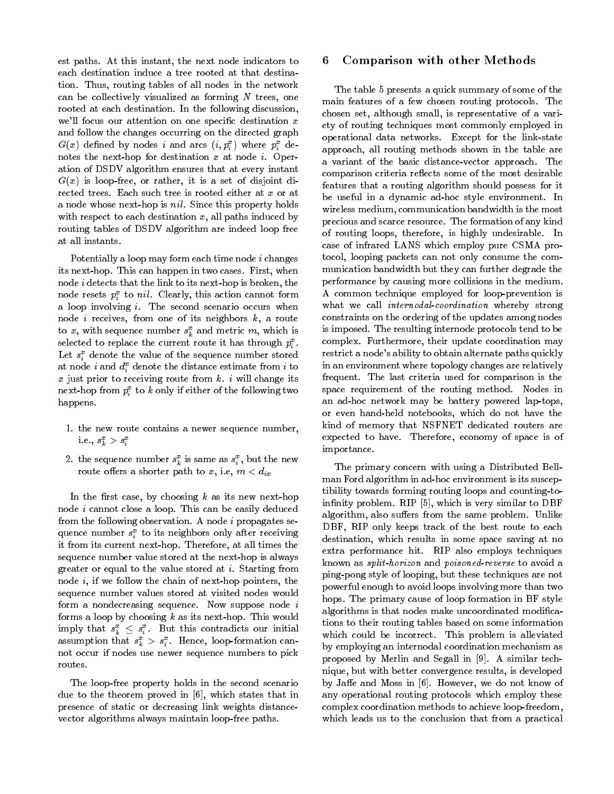est paths-instant the next node indicators to the next node indicators to the next node indicators to the next no each destination induce a tree rooted at that destina tion-tables of all nodes in the network of all nodes in the network of all nodes in the network of all nodes i can be collectively visualized as forming  $N$  trees, one rooted at each destination- In the following discussion we'll focus our attention on one specific destination  $x$ and follow the changes occurring on the directed graph  $G(x)$  denned by nodes i and arcs  $(i, p<sub>i</sub>)$  where  $p<sub>i</sub>$  denotes the next hop for destination x at nodes if the iation of DSDV algorithm ensures that at every instant  $G(x)$  is loop-free, or rather, it is a set of disjoint directed trees- Each such tree is rooted either at <sup>x</sup> or at a node whose next holds is nil-the same that  $\mu$  is  $\mu$  is not in the same with respect to each destination  $x$ , all paths induced by routing tables of DSDV algorithm are indeed loop free at all instants.

Potentially a loop may form each time node <sup>i</sup> changes its next two cases-cases-cases-cases-cases-cases-cases-cases-cases-cases-cases-cases-cases-cases-cases-cases-cases-cases-cases-cases-cases-cases-cases-cases-cases-cases-cases-cases-cases-cases-cases-cases-cases-cases-case node  $i$  detects that the link to its next-hop is broken, the hode resets  $p_i$  to nullelearly, this action cannot form  $\tau$ a loop involving i- the second scenario occurs when scenario node *i* receives, from one of its neighbors  $k$ , a route to x, with sequence number  $s_k^*$  and metric  $m$ , which is selected to replace the current route it has through  $p_i$ . Let  $s_i$  denote the value of the sequence number stored at node  $i$  and  $a_i^+$  denote the distance estimate from  $i$  to . just prior to receiving route from k-time from given the change itself of the change in the change of the ch  $\max_{i=1}$  op from  $p_i^*$  to k only if either of the following two happens-

- the new route contains a newer sequence number 1.e.,  $s_k > s_i$
- 2. the sequence number  $s_k^*$  is same as  $s_i^*$ , but the new <u>in a shekara t</u> route oersel a sacro path to x joing to x ingle

In the first case, by choosing  $k$  as its new next-hop node i cannot close a loop. This can be easily deduced the from the following observation- A node <sup>i</sup> propagates se quence number  $s_i^*$  to its neighbors only after receiving it from its current next has a current next has a current next has a current next has a current next has a cur sequence number value stored at the next-hop is always greater or equal to the value stored at i- we can depend at the value of  $\sim$ node  $i$ , if we follow the chain of next-hop pointers, the sequence number values stored at visited nodes would form a nondecreasing sequence- Now suppose node <sup>i</sup> forms a loop by choosing <sup>k</sup> as its nexthop- This would imply that  $s_k^x \leq s_i^x$ . But this contradicts our initial assumption that  $s_{\vec{k}} > s_{\vec{i}}$  . Hence, loop-formation cannot occur if nodes use newer sequence numbers to pick routes.

The loop-free property holds in the second scenario due to the theorem proved in  $[6]$ , which states that in presence of static or decreasing link weights distance vector algorithms always maintain loop-free paths.

# Comparison with other Methods

The table 5 presents a quick summary of some of the main features of a few chosen routing protocols- The chosen set, although small, is representative of a variety of routing techniques most commonly employed in rporational data attribution - Except for the data networksapproach, all routing methods shown in the table are a variant of the basic distances (the bpperman, more comparison criteria reflects some of the most desirable features that a routing algorithm should possess for it be useful in a dynamic adjustment-benzo de la dynamic adjustment-benzo de la dynamic adjustment-benzo de la dy wireless medium, communication bandwidth is the most precious and scarce resource- The formation of any kind of routing loops therefore is highly understanding in the state is highly understanding the state is highly understanding the state of the state is the state of the state of the state of the state of the state of the state case of infrared LANS which employ pure CSMA pro tocol, looping packets can not only consume the communication bandwidth but they can further degrade the performance by causing more collisions in the medium-A common technique employed for loop-prevention is what we call internodal-coordination whereby strong constraints on the ordering of the updates among nodes is imposed- The resulting internode protocols tend to be complex-their update coordination may be a set of the coordination may be a set of the coordination may be a s restrict a node's ability to obtain alternate paths quickly in an environment where topology changes are relatively frequent- The last criteria used for comparison is the space requirement of the routing method- Nodes in an ad-hoc network may be battery powered lap-tops, or even hand-held notebooks, which do not have the kind of memory that NSFNET dedicated routers are expected to have- Therefore economy of space is of importance.

The primary concern with using a Distributed Bell man Ford algorithm in ad-hoc environment is its susceptibility towards forming routing loops and counting-toinnity problem-between the problem-between the problem-between the problem-between the problem-between the problemalgorithm also suers from the same problem- Unlike DBF, RIP only keeps track of the best route to each destination, which results in some space saving at no extra performance historical performance historical performance historical performance in the second performance of the second performance of the second performance of the second performance in the second performance of th known as *split-horizon* and *poisoned-reverse* to avoid a ping-pong style of looping, but these techniques are not powerful enough to avoid loops involving more than two hops- The primary cause of loop formation in BF style algorithms is that nodes make uncoordinated modifications to their routing tables based on some information which could be incorrectby employing an internodal coordination mechanism as proposed by Merlin and Segall in Apple in Section 2006, the Section nique, but with better convergence results, is developed by January and Moss in the Moss in a contract we do not know the set of the set of the set of the set of the s any operational routing protocols which employ these complex coordination methods to achieve loop-freedom, which leads us to the conclusion that from a practical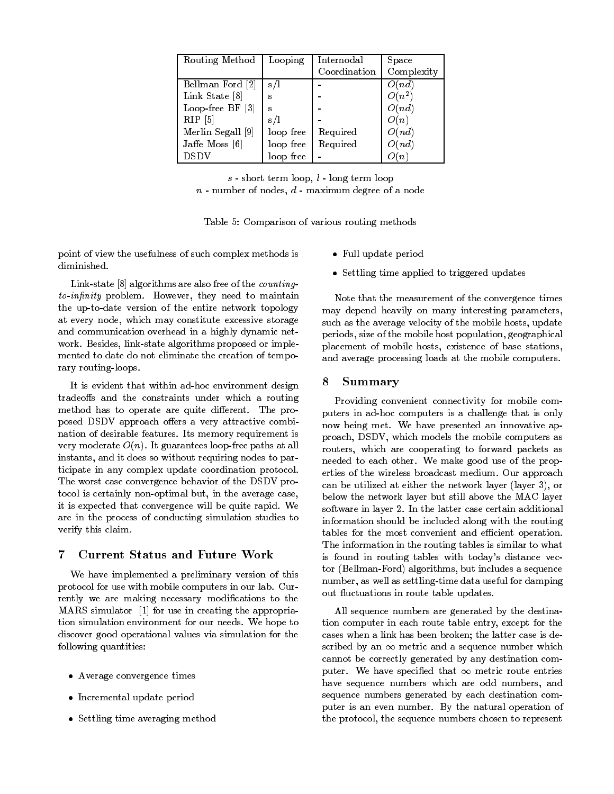| Routing Method    | Looping   | Internodal<br>Coordination | Space<br>Complexity |
|-------------------|-----------|----------------------------|---------------------|
| Bellman Ford [2]  | s/l       |                            | O(nd)               |
| Link State [8]    | s         |                            | $O(n^2)$            |
| Loop-free BF [3]  | s         |                            | O(nd)               |
| $RIP$ [5]         | s/l       |                            | O(n)                |
| Merlin Segall [9] | loop free | Required                   | O(nd)               |
| Jaffe Moss [6]    | loop free | Required                   | O(nd)               |
| DSDV              | loop free |                            | $\lfloor n \rfloor$ |

 $s$  - short term loop,  $l$  - long term loop  $n$  - number of nodes,  $d$  - maximum degree of a node

Table 5: Comparison of various routing methods

point of view the usefulness of such complex methods is diminished.

Link-state  $[8]$  algorithms are also free of the *counting*toin-nity problem- However they need to maintain the up-to-date version of the entire network topology at every node, which may constitute excessive storage and communication overhead in a highly dynamic net work-besides linkstate algorithms proposed or implementation of the control or implementation or implementation mented to date do not eliminate the creation of tempo rary routing-loops.

It is evident that within ad-hoc environment design tradeoffs and the constraints under which a routing method has to operate are quite dierent- The pro posed DSDV approach offers a very attractive combination of desirable features- Its memory requirement is very moderate Only at Announces at all paths paths at all instants, and it does so without requiring nodes to participate in any complex update coordination protocol-The worst case convergence behavior of the DSDV pro tocol is certainly non-optimal but, in the average case, it is expected that converges that converges  $\mathbf{w}$  is expected to be quite rapid-disconvergence will be quite rapidare in the process of conducting simulation studies to verify this claim-

#### **Current Status and Future Work**  $\overline{7}$

We have implemented a preliminary version of this protocol for use with mobile computers in our lab- Cur rently we are making necessary modifications to the MARS simulator  $\left[1\right]$  for use in creating the appropriation simulation environment for our needs- We hope to discover good operational values via simulation for the following quantities

- Average convergence times
- $\bullet$  Incremental update period  $\hspace{0.1em}$
- $\bullet$  Settling time averaging method  $\hspace{0.1mm}$
- Full update period
- $\bullet$  Settling time applied to triggered updates

Note that the measurement of the convergence times may depend heavily on many interesting parameters such as the average velocity of the mobile hosts, update periods, size of the mobile host population, geographical placement of mobile hosts, existence of base stations, and average processing loads at the mobile computers-

# 8 Summary

Providing convenient connectivity for mobile com puters in ad-hoc computers is a challenge that is only now being meth-being meth-being meth-being metric and innovative and innovative and innovative approach and in proach, DSDV, which models the mobile computers as routers, which are cooperating to forward packets as needed to each other- We make good use of the prop erties of the wireless broadcast medium- Our approach can be utilized at either the network layer (layer 3), or below the network layer but still above the MAC layer software in layer - In the latter case case certain additional case certain additional case certain additional information should be included along with the routing tables for the most convenient and e cient operation-The information in the routing tables is similar to what is found in routing tables with today's distance vector (Bellman-Ford) algorithms, but includes a sequence number, as well as settling-time data useful for damping out fluctuations in route table updates.

All sequence numbers are generated by the destina tion computer in each route table entry, except for the cases when a link has been broken; the latter case is described by an  $\infty$  metric and a sequence number which cannot be correctly generated by any destination com puter. We have specified that  $\infty$  metric route entries have sequence numbers which are odd numbers, and sequence numbers generated by each destination com puter is an even number-definition of the number-definition of the number-definition of the natural operation o the protocol, the sequence numbers chosen to represent